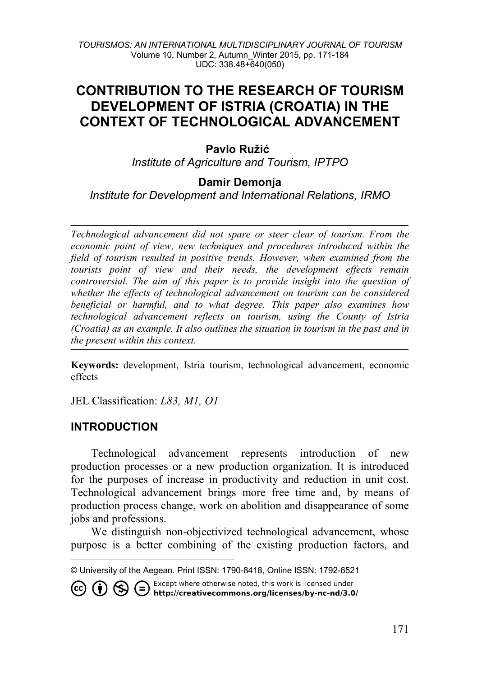# **CONTRIBUTION TO THE RESEARCH OF TOURISM DEVELOPMENT OF ISTRIA (CROATIA) IN THE CONTEXT OF TECHNOLOGICAL ADVANCEMENT**

#### **Pavlo Ružić[1](#page-0-0)**

*Institute of Agriculture and Tourism, IPTPO*

#### **Damir Demonja**

*Institute for Development and International Relations, IRMO*

*Technological advancement did not spare or steer clear of tourism. From the economic point of view, new techniques and procedures introduced within the field of tourism resulted in positive trends. However, when examined from the tourists point of view and their needs, the development effects remain controversial. The aim of this paper is to provide insight into the question of whether the effects of technological advancement on tourism can be considered beneficial or harmful, and to what degree. This paper also examines how technological advancement reflects on tourism, using the County of Istria (Croatia) as an example. It also outlines the situation in tourism in the past and in the present within this context.*

**Keywords:** development, Istria tourism, technological advancement, economic effects

JEL Classification: *L83, M1, O1*

#### **INTRODUCTION**

-

Technological advancement represents introduction of new production processes or a new production organization. It is introduced for the purposes of increase in productivity and reduction in unit cost. Technological advancement brings more free time and, by means of production process change, work on abolition and disappearance of some jobs and professions.

We distinguish non-objectivized technological advancement, whose purpose is a better combining of the existing production factors, and

**CO (b)**  $\bigoplus$  **C** Except where otherwise noted, this work is licensed under **(cc) (b) C** http://creativecommons.org/licenses/by-nc-nd/3.0/

<span id="page-0-0"></span><sup>©</sup> University of the Aegean. Print ISSN: 1790-8418, Online ISSN: 1792-6521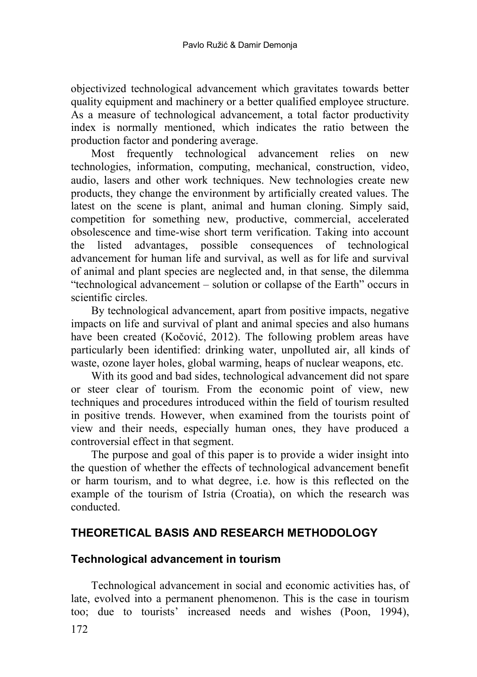objectivized technological advancement which gravitates towards better quality equipment and machinery or a better qualified employee structure. As a measure of technological advancement, a total factor productivity index is normally mentioned, which indicates the ratio between the production factor and pondering average.

Most frequently technological advancement relies on new technologies, information, computing, mechanical, construction, video, audio, lasers and other work techniques. New technologies create new products, they change the environment by artificially created values. The latest on the scene is plant, animal and human cloning. Simply said, competition for something new, productive, commercial, accelerated obsolescence and time-wise short term verification. Taking into account the listed advantages, possible consequences of technological advancement for human life and survival, as well as for life and survival of animal and plant species are neglected and, in that sense, the dilemma "technological advancement – solution or collapse of the Earth" occurs in scientific circles.

By technological advancement, apart from positive impacts, negative impacts on life and survival of plant and animal species and also humans have been created (Kočović, 2012). The following problem areas have particularly been identified: drinking water, unpolluted air, all kinds of waste, ozone layer holes, global warming, heaps of nuclear weapons, etc.

With its good and bad sides, technological advancement did not spare or steer clear of tourism. From the economic point of view, new techniques and procedures introduced within the field of tourism resulted in positive trends. However, when examined from the tourists point of view and their needs, especially human ones, they have produced a controversial effect in that segment.

The purpose and goal of this paper is to provide a wider insight into the question of whether the effects of technological advancement benefit or harm tourism, and to what degree, i.e. how is this reflected on the example of the tourism of Istria (Croatia), on which the research was conducted.

# **THEORETICAL BASIS AND RESEARCH METHODOLOGY**

## **Technological advancement in tourism**

172 Technological advancement in social and economic activities has, of late, evolved into a permanent phenomenon. This is the case in tourism too; due to tourists' increased needs and wishes (Poon, 1994),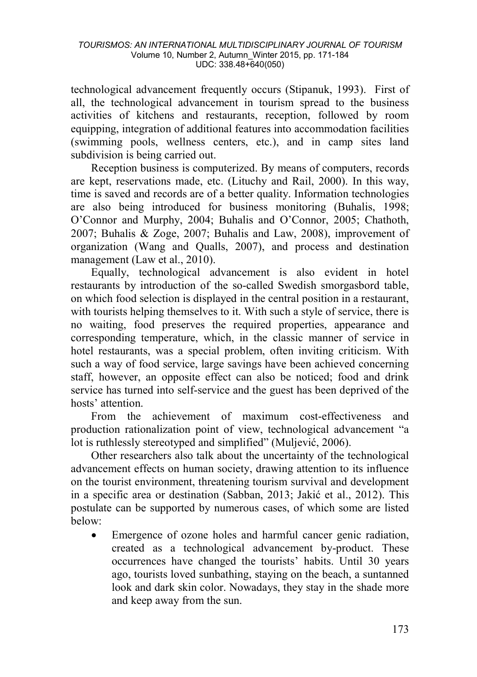technological advancement frequently occurs (Stipanuk, 1993). First of all, the technological advancement in tourism spread to the business activities of kitchens and restaurants, reception, followed by room equipping, integration of additional features into accommodation facilities (swimming pools, wellness centers, etc.), and in camp sites land subdivision is being carried out.

Reception business is computerized. By means of computers, records are kept, reservations made, etc. (Lituchy and Rail, 2000). In this way, time is saved and records are of a better quality. Information technologies are also being introduced for business monitoring (Buhalis, 1998; O'Connor and Murphy, 2004; Buhalis and O'Connor, 2005; Chathoth, 2007; Buhalis & Zoge, 2007; Buhalis and Law, 2008), improvement of organization (Wang and Qualls, 2007), and process and destination management (Law et al., 2010).

Equally, technological advancement is also evident in hotel restaurants by introduction of the so-called Swedish smorgasbord table, on which food selection is displayed in the central position in a restaurant, with tourists helping themselves to it. With such a style of service, there is no waiting, food preserves the required properties, appearance and corresponding temperature, which, in the classic manner of service in hotel restaurants, was a special problem, often inviting criticism. With such a way of food service, large savings have been achieved concerning staff, however, an opposite effect can also be noticed; food and drink service has turned into self-service and the guest has been deprived of the hosts' attention.

From the achievement of maximum cost-effectiveness and production rationalization point of view, technological advancement "a lot is ruthlessly stereotyped and simplified" (Muljević, 2006).

Other researchers also talk about the uncertainty of the technological advancement effects on human society, drawing attention to its influence on the tourist environment, threatening tourism survival and development in a specific area or destination (Sabban, 2013; Jakić et al., 2012). This postulate can be supported by numerous cases, of which some are listed below:

Emergence of ozone holes and harmful cancer genic radiation, created as a technological advancement by-product. These occurrences have changed the tourists' habits. Until 30 years ago, tourists loved sunbathing, staying on the beach, a suntanned look and dark skin color. Nowadays, they stay in the shade more and keep away from the sun.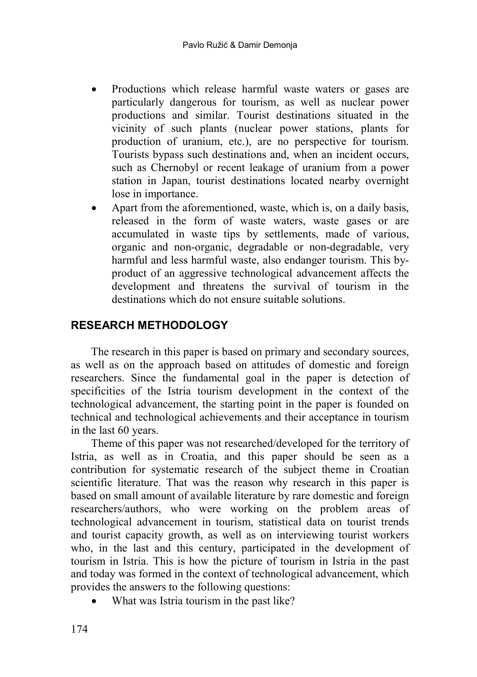- Productions which release harmful waste waters or gases are particularly dangerous for tourism, as well as nuclear power productions and similar. Tourist destinations situated in the vicinity of such plants (nuclear power stations, plants for production of uranium, etc.), are no perspective for tourism. Tourists bypass such destinations and, when an incident occurs, such as Chernobyl or recent leakage of uranium from a power station in Japan, tourist destinations located nearby overnight lose in importance.
- Apart from the aforementioned, waste, which is, on a daily basis, released in the form of waste waters, waste gases or are accumulated in waste tips by settlements, made of various, organic and non-organic, degradable or non-degradable, very harmful and less harmful waste, also endanger tourism. This byproduct of an aggressive technological advancement affects the development and threatens the survival of tourism in the destinations which do not ensure suitable solutions.

## **RESEARCH METHODOLOGY**

The research in this paper is based on primary and secondary sources, as well as on the approach based on attitudes of domestic and foreign researchers. Since the fundamental goal in the paper is detection of specificities of the Istria tourism development in the context of the technological advancement, the starting point in the paper is founded on technical and technological achievements and their acceptance in tourism in the last 60 years.

Theme of this paper was not researched/developed for the territory of Istria, as well as in Croatia, and this paper should be seen as a contribution for systematic research of the subject theme in Croatian scientific literature. That was the reason why research in this paper is based on small amount of available literature by rare domestic and foreign researchers/authors, who were working on the problem areas of technological advancement in tourism, statistical data on tourist trends and tourist capacity growth, as well as on interviewing tourist workers who, in the last and this century, participated in the development of tourism in Istria. This is how the picture of tourism in Istria in the past and today was formed in the context of technological advancement, which provides the answers to the following questions:

• What was Istria tourism in the past like?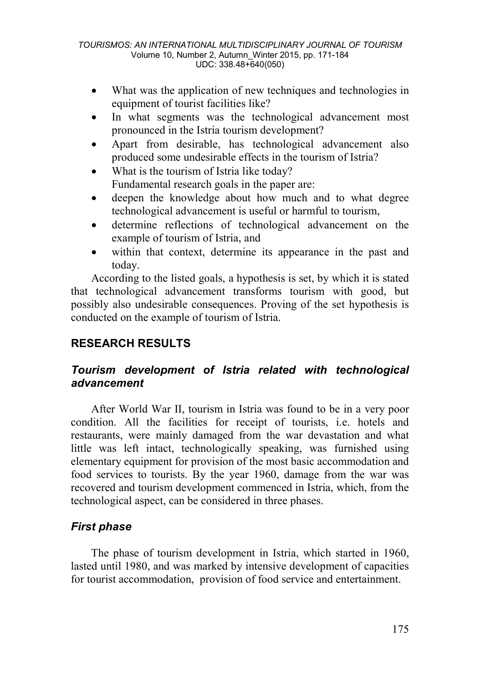- What was the application of new techniques and technologies in equipment of tourist facilities like?
- In what segments was the technological advancement most pronounced in the Istria tourism development?
- Apart from desirable, has technological advancement also produced some undesirable effects in the tourism of Istria?
- What is the tourism of Istria like today? Fundamental research goals in the paper are:
- deepen the knowledge about how much and to what degree technological advancement is useful or harmful to tourism,
- determine reflections of technological advancement on the example of tourism of Istria, and
- within that context, determine its appearance in the past and today.

According to the listed goals, a hypothesis is set, by which it is stated that technological advancement transforms tourism with good, but possibly also undesirable consequences. Proving of the set hypothesis is conducted on the example of tourism of Istria.

# **RESEARCH RESULTS**

## *Tourism development of Istria related with technological advancement*

After World War II, tourism in Istria was found to be in a very poor condition. All the facilities for receipt of tourists, i.e. hotels and restaurants, were mainly damaged from the war devastation and what little was left intact, technologically speaking, was furnished using elementary equipment for provision of the most basic accommodation and food services to tourists. By the year 1960, damage from the war was recovered and tourism development commenced in Istria, which, from the technological aspect, can be considered in three phases.

## *First phase*

The phase of tourism development in Istria, which started in 1960, lasted until 1980, and was marked by intensive development of capacities for tourist accommodation, provision of food service and entertainment.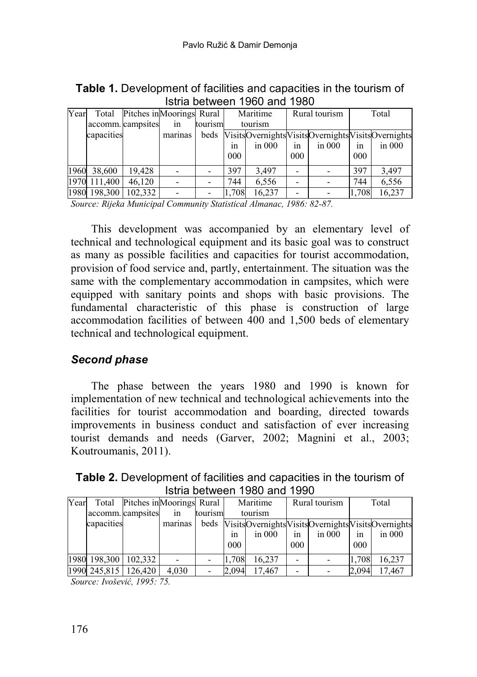| Year | Total      | Pitches in Moorings Rural |         |         | Maritime |                                                       | Rural tourism |          | Total |            |
|------|------------|---------------------------|---------|---------|----------|-------------------------------------------------------|---------------|----------|-------|------------|
|      |            | accomm. campsites         | in      | tourism | tourism  |                                                       |               |          |       |            |
|      | capacities |                           | marinas |         |          | beds VisitsOvernightsVisitsOvernightsVisitsOvernights |               |          |       |            |
|      |            |                           |         |         | 1n       | $\sin 000$                                            | 1n            | in $000$ | 1n    | $\sin 000$ |
|      |            |                           |         |         | 000      |                                                       | 000           |          | 000   |            |
| 1960 | 38,600     | 19,428                    |         |         | 397      | 3.497                                                 |               |          | 397   | 3,497      |
| 1970 | 111,400    | 46.120                    |         |         | 744      | 6,556                                                 |               |          | 744   | 6,556      |
| 1980 | 198,300    | 102.332                   |         |         | 1,708    | 16.237                                                |               |          | 1,708 | 16,237     |

**Table 1.** Development of facilities and capacities in the tourism of Istria between 1960 and 1980

*Source: Rijeka Municipal Community Statistical Almanac, 1986: 82-87.*

This development was accompanied by an elementary level of technical and technological equipment and its basic goal was to construct as many as possible facilities and capacities for tourist accommodation, provision of food service and, partly, entertainment. The situation was the same with the complementary accommodation in campsites, which were equipped with sanitary points and shops with basic provisions. The fundamental characteristic of this phase is construction of large accommodation facilities of between 400 and 1,500 beds of elementary technical and technological equipment.

### *Second phase*

The phase between the years 1980 and 1990 is known for implementation of new technical and technological achievements into the facilities for tourist accommodation and boarding, directed towards improvements in business conduct and satisfaction of ever increasing tourist demands and needs (Garver, 2002; Magnini et al., 2003; Koutroumanis, 2011).

**Table 2.** Development of facilities and capacities in the tourism of Istria between 1980 and 1990

| Year |              | Total Pitches in Moorings Rural |         |         | Maritime |            | Rural tourism |                                                       | Total |            |
|------|--------------|---------------------------------|---------|---------|----------|------------|---------------|-------------------------------------------------------|-------|------------|
|      |              | accomm. campsites               | in      | tourism | tourism  |            |               |                                                       |       |            |
|      | capacities   |                                 | marinas |         |          |            |               | beds VisitsOvernightsVisitsOvernightsVisitsOvernights |       |            |
|      |              |                                 |         |         | 1n       | $\sin 000$ | 1n            | in $000$                                              | 1n    | $\sin 000$ |
|      |              |                                 |         |         | 000      |            | 000           |                                                       | 000   |            |
|      | 1980 198,300 | 102.332                         |         |         | 1.708    | 16.237     |               |                                                       | 1,708 | 16,237     |
|      | 1990 245,815 | 126,420                         | 4,030   |         | 2,094    | 17.467     |               |                                                       | 2.094 | 17,467     |

*Source: Ivošević, 1995: 75.*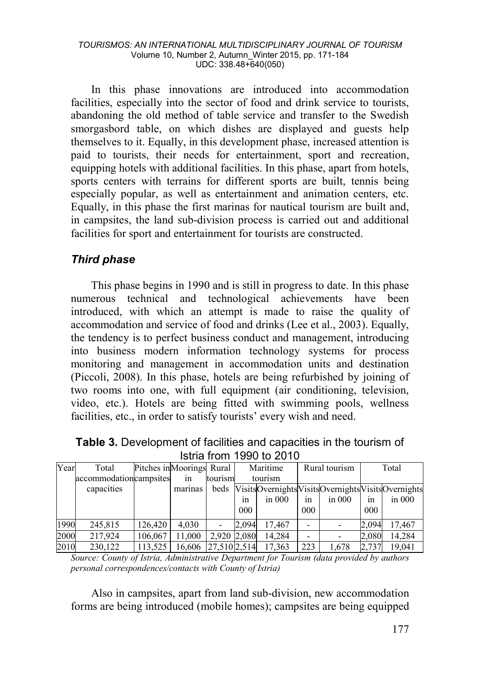In this phase innovations are introduced into accommodation facilities, especially into the sector of food and drink service to tourists, abandoning the old method of table service and transfer to the Swedish smorgasbord table, on which dishes are displayed and guests help themselves to it. Equally, in this development phase, increased attention is paid to tourists, their needs for entertainment, sport and recreation, equipping hotels with additional facilities. In this phase, apart from hotels, sports centers with terrains for different sports are built, tennis being especially popular, as well as entertainment and animation centers, etc. Equally, in this phase the first marinas for nautical tourism are built and, in campsites, the land sub-division process is carried out and additional facilities for sport and entertainment for tourists are constructed.

### *Third phase*

This phase begins in 1990 and is still in progress to date. In this phase numerous technical and technological achievements have been introduced, with which an attempt is made to raise the quality of accommodation and service of food and drinks (Lee et al., 2003). Equally, the tendency is to perfect business conduct and management, introducing into business modern information technology systems for process monitoring and management in accommodation units and destination (Piccoli, 2008). In this phase, hotels are being refurbished by joining of two rooms into one, with full equipment (air conditioning, television, video, etc.). Hotels are being fitted with swimming pools, wellness facilities, etc., in order to satisfy tourists' every wish and need.

| Istria from 1990 to 2010 |                           |  |  |            |                                    |               |       |  |
|--------------------------|---------------------------|--|--|------------|------------------------------------|---------------|-------|--|
| ear.                     | Total                     |  |  |            | Pitches in Moorings Rural Maritime | Rural tourism | Total |  |
|                          | accommodationcampeites in |  |  | $t$ ourism | tourism                            |               |       |  |

| Table 3. Development of facilities and capacities in the tourism of |
|---------------------------------------------------------------------|
| <b>Istria from 1990 to 2010</b>                                     |

| Year | Total                  | Pitches in Moorings Rural |                     |             |       | Maritime   |     | Rural tourism |       | Total                                            |
|------|------------------------|---------------------------|---------------------|-------------|-------|------------|-----|---------------|-------|--------------------------------------------------|
|      | accommodationcampsites |                           | in                  | tourism     |       | tourism    |     |               |       |                                                  |
|      | capacities             |                           | marinas             | beds        |       |            |     |               |       | VisitsOvernightsVisitsOvernightsVisitsOvernights |
|      |                        |                           |                     |             | 1n    | $\sin 000$ | 1n  | in $000$      | 1n    | $\sin 000$                                       |
|      |                        |                           |                     |             | 000   |            | 000 |               | 000   |                                                  |
| 1990 | 245,815                | 126.420                   | 4.030               |             | 2.094 | 17.467     |     |               | 2.094 | 17.467                                           |
| 2000 | 217.924                | 106,067                   | 11.000              | 2.920 2.080 |       | 14.284     |     |               | 2.080 | 14.284                                           |
| 2010 | 230,122                | 113,525                   | 16,606 27,510 2,514 |             |       | 17.363     | 223 | 1.678         | 2.737 | 19.041                                           |

*Source: County of Istria, Administrative Department for Tourism (data provided by authors personal correspondences/contacts with County of Istria)* 

Also in campsites, apart from land sub-division, new accommodation forms are being introduced (mobile homes); campsites are being equipped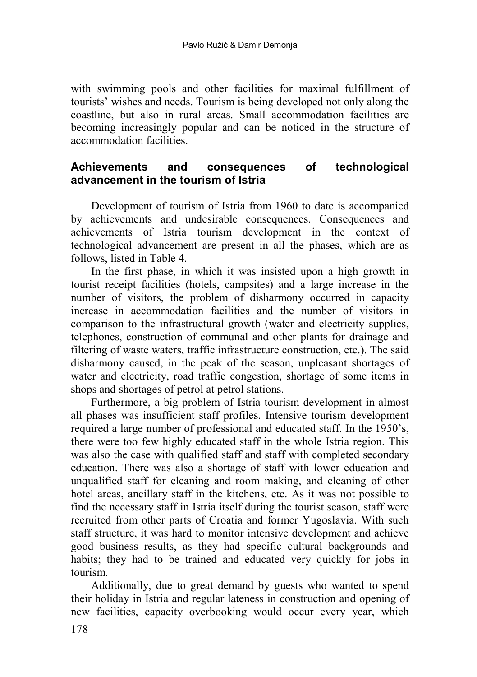with swimming pools and other facilities for maximal fulfillment of tourists' wishes and needs. Tourism is being developed not only along the coastline, but also in rural areas. Small accommodation facilities are becoming increasingly popular and can be noticed in the structure of accommodation facilities.

## **Achievements and consequences of technological advancement in the tourism of Istria**

Development of tourism of Istria from 1960 to date is accompanied by achievements and undesirable consequences. Consequences and achievements of Istria tourism development in the context of technological advancement are present in all the phases, which are as follows, listed in Table 4.

In the first phase, in which it was insisted upon a high growth in tourist receipt facilities (hotels, campsites) and a large increase in the number of visitors, the problem of disharmony occurred in capacity increase in accommodation facilities and the number of visitors in comparison to the infrastructural growth (water and electricity supplies, telephones, construction of communal and other plants for drainage and filtering of waste waters, traffic infrastructure construction, etc.). The said disharmony caused, in the peak of the season, unpleasant shortages of water and electricity, road traffic congestion, shortage of some items in shops and shortages of petrol at petrol stations.

Furthermore, a big problem of Istria tourism development in almost all phases was insufficient staff profiles. Intensive tourism development required a large number of professional and educated staff. In the 1950's, there were too few highly educated staff in the whole Istria region. This was also the case with qualified staff and staff with completed secondary education. There was also a shortage of staff with lower education and unqualified staff for cleaning and room making, and cleaning of other hotel areas, ancillary staff in the kitchens, etc. As it was not possible to find the necessary staff in Istria itself during the tourist season, staff were recruited from other parts of Croatia and former Yugoslavia. With such staff structure, it was hard to monitor intensive development and achieve good business results, as they had specific cultural backgrounds and habits; they had to be trained and educated very quickly for jobs in tourism.

Additionally, due to great demand by guests who wanted to spend their holiday in Istria and regular lateness in construction and opening of new facilities, capacity overbooking would occur every year, which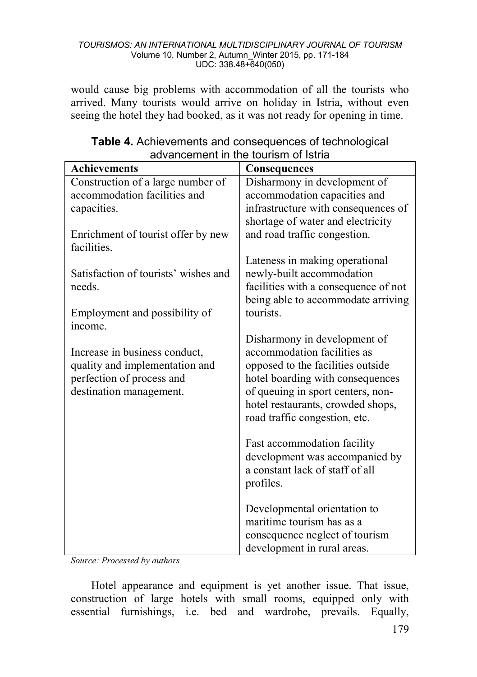would cause big problems with accommodation of all the tourists who arrived. Many tourists would arrive on holiday in Istria, without even seeing the hotel they had booked, as it was not ready for opening in time.

| <b>Achievements</b>                  | Consequences                                                      |
|--------------------------------------|-------------------------------------------------------------------|
| Construction of a large number of    | Disharmony in development of                                      |
| accommodation facilities and         | accommodation capacities and                                      |
| capacities.                          | infrastructure with consequences of                               |
|                                      | shortage of water and electricity                                 |
| Enrichment of tourist offer by new   | and road traffic congestion.                                      |
| facilities.                          |                                                                   |
| Satisfaction of tourists' wishes and | Lateness in making operational                                    |
| needs.                               | newly-built accommodation<br>facilities with a consequence of not |
|                                      | being able to accommodate arriving                                |
| Employment and possibility of        | tourists.                                                         |
| income.                              |                                                                   |
|                                      | Disharmony in development of                                      |
| Increase in business conduct,        | accommodation facilities as                                       |
| quality and implementation and       | opposed to the facilities outside                                 |
| perfection of process and            | hotel boarding with consequences                                  |
| destination management.              | of queuing in sport centers, non-                                 |
|                                      | hotel restaurants, crowded shops,                                 |
|                                      | road traffic congestion, etc.                                     |
|                                      |                                                                   |
|                                      | Fast accommodation facility                                       |
|                                      | development was accompanied by<br>a constant lack of staff of all |
|                                      | profiles.                                                         |
|                                      |                                                                   |
|                                      | Developmental orientation to                                      |
|                                      | maritime tourism has as a                                         |
|                                      | consequence neglect of tourism                                    |
|                                      | development in rural areas.                                       |

#### **Table 4.** Achievements and consequences of technological advancement in the tourism of Istria

*Source: Processed by authors* 

Hotel appearance and equipment is yet another issue. That issue, construction of large hotels with small rooms, equipped only with essential furnishings, i.e. bed and wardrobe, prevails. Equally,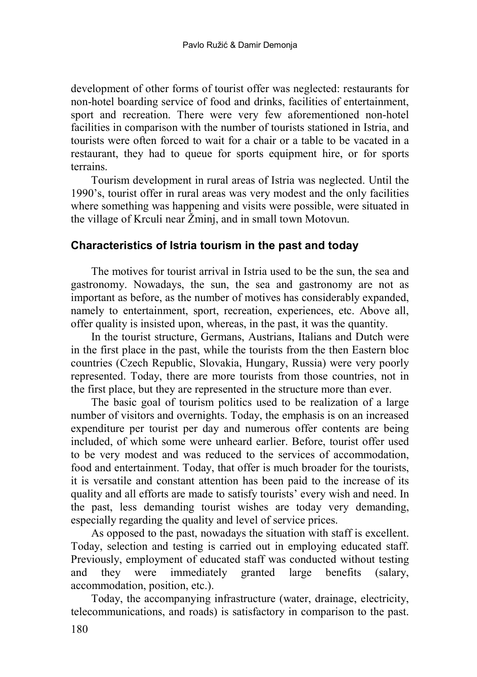development of other forms of tourist offer was neglected: restaurants for non-hotel boarding service of food and drinks, facilities of entertainment, sport and recreation. There were very few aforementioned non-hotel facilities in comparison with the number of tourists stationed in Istria, and tourists were often forced to wait for a chair or a table to be vacated in a restaurant, they had to queue for sports equipment hire, or for sports terrains.

Tourism development in rural areas of Istria was neglected. Until the 1990's, tourist offer in rural areas was very modest and the only facilities where something was happening and visits were possible, were situated in the village of Krculi near Žminj, and in small town Motovun.

### **Characteristics of Istria tourism in the past and today**

The motives for tourist arrival in Istria used to be the sun, the sea and gastronomy. Nowadays, the sun, the sea and gastronomy are not as important as before, as the number of motives has considerably expanded, namely to entertainment, sport, recreation, experiences, etc. Above all, offer quality is insisted upon, whereas, in the past, it was the quantity.

In the tourist structure, Germans, Austrians, Italians and Dutch were in the first place in the past, while the tourists from the then Eastern bloc countries (Czech Republic, Slovakia, Hungary, Russia) were very poorly represented. Today, there are more tourists from those countries, not in the first place, but they are represented in the structure more than ever.

The basic goal of tourism politics used to be realization of a large number of visitors and overnights. Today, the emphasis is on an increased expenditure per tourist per day and numerous offer contents are being included, of which some were unheard earlier. Before, tourist offer used to be very modest and was reduced to the services of accommodation, food and entertainment. Today, that offer is much broader for the tourists, it is versatile and constant attention has been paid to the increase of its quality and all efforts are made to satisfy tourists' every wish and need. In the past, less demanding tourist wishes are today very demanding, especially regarding the quality and level of service prices.

As opposed to the past, nowadays the situation with staff is excellent. Today, selection and testing is carried out in employing educated staff. Previously, employment of educated staff was conducted without testing and they were immediately granted large benefits (salary, accommodation, position, etc.).

Today, the accompanying infrastructure (water, drainage, electricity, telecommunications, and roads) is satisfactory in comparison to the past.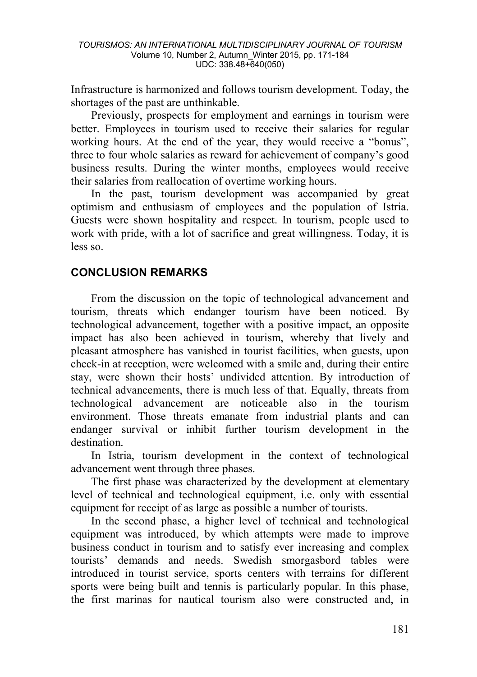Infrastructure is harmonized and follows tourism development. Today, the shortages of the past are unthinkable.

Previously, prospects for employment and earnings in tourism were better. Employees in tourism used to receive their salaries for regular working hours. At the end of the year, they would receive a "bonus", three to four whole salaries as reward for achievement of company's good business results. During the winter months, employees would receive their salaries from reallocation of overtime working hours.

In the past, tourism development was accompanied by great optimism and enthusiasm of employees and the population of Istria. Guests were shown hospitality and respect. In tourism, people used to work with pride, with a lot of sacrifice and great willingness. Today, it is less so.

## **CONCLUSION REMARKS**

From the discussion on the topic of technological advancement and tourism, threats which endanger tourism have been noticed. By technological advancement, together with a positive impact, an opposite impact has also been achieved in tourism, whereby that lively and pleasant atmosphere has vanished in tourist facilities, when guests, upon check-in at reception, were welcomed with a smile and, during their entire stay, were shown their hosts' undivided attention. By introduction of technical advancements, there is much less of that. Equally, threats from technological advancement are noticeable also in the tourism environment. Those threats emanate from industrial plants and can endanger survival or inhibit further tourism development in the destination.

In Istria, tourism development in the context of technological advancement went through three phases.

The first phase was characterized by the development at elementary level of technical and technological equipment, i.e. only with essential equipment for receipt of as large as possible a number of tourists.

In the second phase, a higher level of technical and technological equipment was introduced, by which attempts were made to improve business conduct in tourism and to satisfy ever increasing and complex tourists' demands and needs. Swedish smorgasbord tables were introduced in tourist service, sports centers with terrains for different sports were being built and tennis is particularly popular. In this phase, the first marinas for nautical tourism also were constructed and, in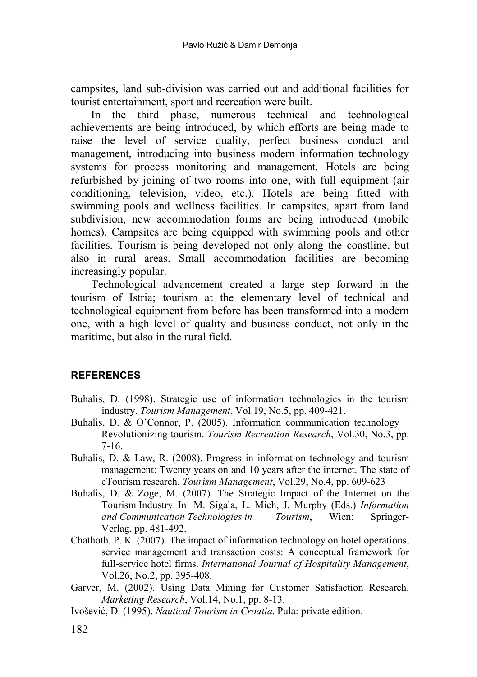campsites, land sub-division was carried out and additional facilities for tourist entertainment, sport and recreation were built.

In the third phase, numerous technical and technological achievements are being introduced, by which efforts are being made to raise the level of service quality, perfect business conduct and management, introducing into business modern information technology systems for process monitoring and management. Hotels are being refurbished by joining of two rooms into one, with full equipment (air conditioning, television, video, etc.). Hotels are being fitted with swimming pools and wellness facilities. In campsites, apart from land subdivision, new accommodation forms are being introduced (mobile homes). Campsites are being equipped with swimming pools and other facilities. Tourism is being developed not only along the coastline, but also in rural areas. Small accommodation facilities are becoming increasingly popular.

Technological advancement created a large step forward in the tourism of Istria; tourism at the elementary level of technical and technological equipment from before has been transformed into a modern one, with a high level of quality and business conduct, not only in the maritime, but also in the rural field.

#### **REFERENCES**

- Buhalis, D. (1998). Strategic use of information technologies in the tourism industry. *Tourism Management*, Vol.19, No.5, pp. 409-421.
- Buhalis, D. & O'Connor, P. (2005). Information communication technology Revolutionizing tourism. *Tourism Recreation Research*, Vol.30, No.3, pp. 7-16.
- Buhalis, D. & Law, R. (2008). Progress in information technology and tourism management: Twenty years on and 10 years after the internet. The state of eTourism research. *Tourism Management*, Vol.29, No.4, pp. 609-623
- Buhalis, D. & Zoge, M. (2007). The Strategic Impact of the Internet on the Tourism Industry. In M. Sigala, L. Mich, J. Murphy (Eds.) *Information and Communication Technologies in Tourism*, Wien: Springer-Verlag, pp. 481-492.
- Chathoth, P. K. (2007). The impact of information technology on hotel operations, service management and transaction costs: A conceptual framework for full-service hotel firms. *International Journal of Hospitality Management*, Vol.26, No.2, pp. 395-408.
- Garver, M. (2002). Using Data Mining for Customer Satisfaction Research. *Marketing Research*, Vol.14, No.1, pp. 8-13.
- Ivošević, D. (1995). *Nautical Tourism in Croatia*. Pula: private edition.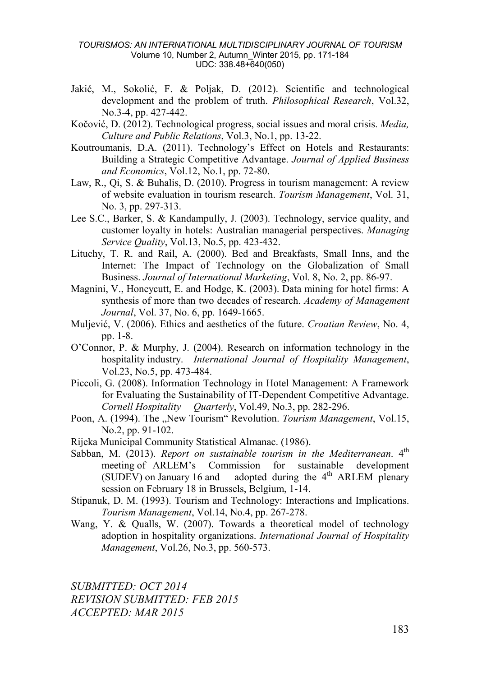- Jakić, M., Sokolić, F. & Poljak, D. (2012). Scientific and technological development and the problem of truth. *Philosophical Research*, Vol.32, No.3-4, pp. 427-442.
- Kočović, D. (2012). Technological progress, social issues and moral crisis. *Media, Culture and Public Relations*, Vol.3, No.1, pp. 13-22.
- Koutroumanis, D.A. (2011). Technology's Effect on Hotels and Restaurants: Building a Strategic Competitive Advantage. *Journal of Applied Business and Economics*, Vol.12, No.1, pp. 72-80.
- Law, R., Qi, S. & Buhalis, D. (2010). Progress in tourism management: A review of website evaluation in tourism research. *Tourism Management*, Vol. 31, No. 3, pp. 297-313.
- Lee S.C., Barker, S. & Kandampully, J. (2003). Technology, service quality, and customer loyalty in hotels: Australian managerial perspectives. *Managing Service Quality*, Vol.13, No.5, pp. 423-432.
- Lituchy, T. R. and Rail, A. (2000). Bed and Breakfasts, Small Inns, and the Internet: The Impact of Technology on the Globalization of Small Business. *Journal of International Marketing*, Vol. 8, No. 2, pp. 86-97.
- Magnini, V., Honeycutt, E. and Hodge, K. (2003). Data mining for hotel firms: A synthesis of more than two decades of research. *Academy of Management Journal*, Vol. 37, No. 6, pp. 1649-1665.
- Muljević, V. (2006). Ethics and aesthetics of the future. *Croatian Review*, No. 4, pp. 1-8.
- O'Connor, P. & Murphy, J. (2004). Research on information technology in the hospitality industry. *International Journal of Hospitality Management*, Vol.23, No.5, pp. 473-484.
- Piccoli, G. (2008). Information Technology in Hotel Management: A Framework for Evaluating the Sustainability of IT-Dependent Competitive Advantage. *Cornell Hospitality Quarterly*, Vol.49, No.3, pp. 282-296.
- Poon, A. (1994). The "New Tourism" Revolution. *Tourism Management*, Vol.15, No.2, pp. 91-102.
- Rijeka Municipal Community Statistical Almanac. (1986).
- Sabban, M. (2013). *Report on sustainable tourism in the Mediterranean*. 4<sup>th</sup> meeting of ARLEM's Commission for sustainable development (SUDEV) on January 16 and adopted during the  $4<sup>th</sup>$  ARLEM plenary session on February 18 in Brussels, Belgium, 1-14.
- Stipanuk, D. M. (1993). Tourism and Technology: Interactions and Implications. *Tourism Management*, Vol.14, No.4, pp. 267-278.
- Wang, Y. & Qualls, W. (2007). Towards a theoretical model of technology adoption in hospitality organizations. *International Journal of Hospitality Management*, Vol.26, No.3, pp. 560-573.

*SUBMITTED: OCT 2014 REVISION SUBMITTED: FEB 2015 ACCEPTED: MAR 2015*